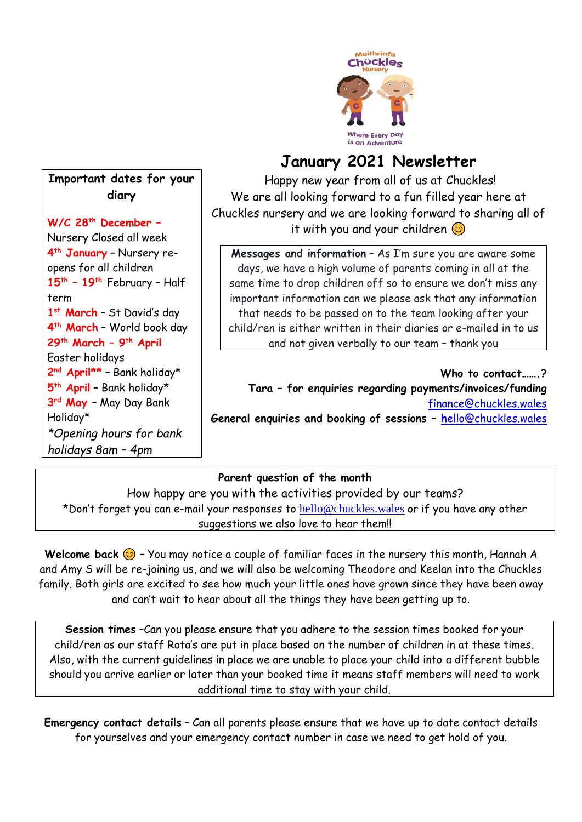

# **January 2021 Newsletter**

Happy new year from all of us at Chuckles! We are all looking forward to a fun filled year here at Chuckles nursery and we are looking forward to sharing all of it with you and your children  $\odot$ 

**Messages and information** – As I'm sure you are aware some days, we have a high volume of parents coming in all at the same time to drop children off so to ensure we don't miss any important information can we please ask that any information that needs to be passed on to the team looking after your child/ren is either written in their diaries or e-mailed in to us and not given verbally to our team – thank you

Who to contact ? **Tara – for enquiries regarding payments/invoices/funding** [finance@chuckles.wales](mailto:finance@chuckles.wales) **General enquiries and booking of sessions – h**[ello@chuckles.wales](mailto:hello@chuckles.wales)

# **Parent question of the month**

How happy are you with the activities provided by our teams? \*Don't forget you can e-mail your responses to [hello@chuckles.wales](mailto:hello@chuckles.wales) or if you have any other suggestions we also love to hear them!!

Welcome back  $\odot$  - You may notice a couple of familiar faces in the nursery this month, Hannah A and Amy S will be re-joining us, and we will also be welcoming Theodore and Keelan into the Chuckles family. Both girls are excited to see how much your little ones have grown since they have been away and can't wait to hear about all the things they have been getting up to.

**Session times** –Can you please ensure that you adhere to the session times booked for your child/ren as our staff Rota's are put in place based on the number of children in at these times. Also, with the current guidelines in place we are unable to place your child into a different bubble should you arrive earlier or later than your booked time it means staff members will need to work additional time to stay with your child.

**Emergency contact details** – Can all parents please ensure that we have up to date contact details for yourselves and your emergency contact number in case we need to get hold of you.

# **Important dates for your diary**

**W/C 28th December –**

Nursery Closed all week **4 th January** – Nursery reopens for all children **15 th – 19th** February – Half term **1 st March** – St David's day **4 th March** – World book day **29th March – 9 th April**  Easter holidays **2 nd April\*\*** – Bank holiday\* **5 th April** – Bank holiday\* **3 rd May** – May Day Bank Holiday\* *\*Opening hours for bank holidays 8am – 4pm*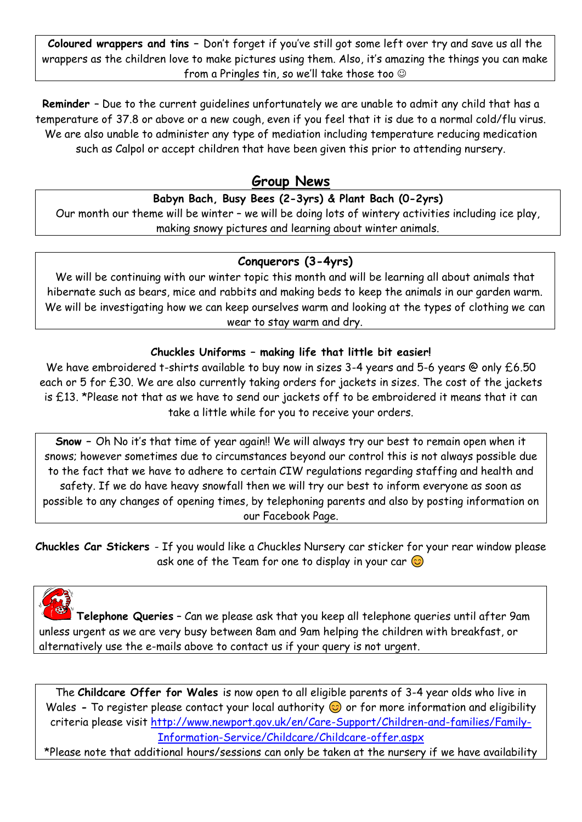**Coloured wrappers and tins –** Don't forget if you've still got some left over try and save us all the wrappers as the children love to make pictures using them. Also, it's amazing the things you can make from a Pringles tin, so we'll take those too ☺

**Reminder** – Due to the current guidelines unfortunately we are unable to admit any child that has a temperature of 37.8 or above or a new cough, even if you feel that it is due to a normal cold/flu virus. We are also unable to administer any type of mediation including temperature reducing medication such as Calpol or accept children that have been given this prior to attending nursery.

# **Group News**

### **Babyn Bach, Busy Bees (2-3yrs) & Plant Bach (0-2yrs)**

Our month our theme will be winter – we will be doing lots of wintery activities including ice play, making snowy pictures and learning about winter animals.

### **Conquerors (3-4yrs)**

We will be continuing with our winter topic this month and will be learning all about animals that hibernate such as bears, mice and rabbits and making beds to keep the animals in our garden warm. We will be investigating how we can keep ourselves warm and looking at the types of clothing we can wear to stay warm and dry.

#### **Chuckles Uniforms – making life that little bit easier!**

We have embroidered t-shirts available to buy now in sizes 3-4 years and 5-6 years @ only £6.50 each or 5 for £30. We are also currently taking orders for jackets in sizes. The cost of the jackets is £13. \*Please not that as we have to send our jackets off to be embroidered it means that it can take a little while for you to receive your orders.

**Snow –** Oh No it's that time of year again!! We will always try our best to remain open when it snows; however sometimes due to circumstances beyond our control this is not always possible due to the fact that we have to adhere to certain CIW regulations regarding staffing and health and safety. If we do have heavy snowfall then we will try our best to inform everyone as soon as possible to any changes of opening times, by telephoning parents and also by posting information on our Facebook Page.

**Chuckles Car Stickers** - If you would like a Chuckles Nursery car sticker for your rear window please ask one of the Team for one to display in your car  $\circledcirc$ 

**Telephone Queries** – Can we please ask that you keep all telephone queries until after 9am unless urgent as we are very busy between 8am and 9am helping the children with breakfast, or alternatively use the e-mails above to contact us if your query is not urgent.

The **Childcare Offer for Wales** is now open to all eligible parents of 3-4 year olds who live in Wales **-** To register please contact your local authority  $\odot$  or for more information and eligibility criteria please visit [http://www.newport.gov.uk/en/Care-Support/Children-and-families/Family-](http://www.newport.gov.uk/en/Care-Support/Children-and-families/Family-Information-Service/Childcare/Childcare-offer.aspx)[Information-Service/Childcare/Childcare-offer.aspx](http://www.newport.gov.uk/en/Care-Support/Children-and-families/Family-Information-Service/Childcare/Childcare-offer.aspx)

\*Please note that additional hours/sessions can only be taken at the nursery if we have availability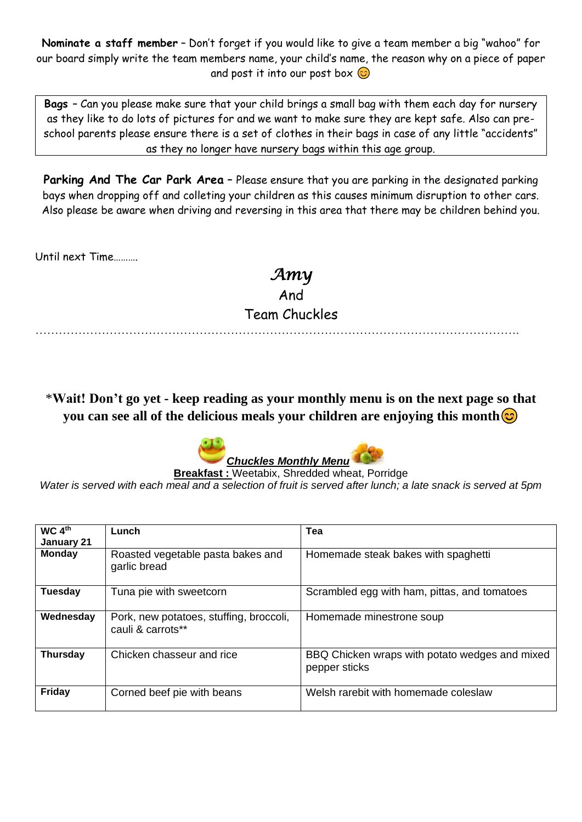**Nominate a staff member** – Don't forget if you would like to give a team member a big "wahoo" for our board simply write the team members name, your child's name, the reason why on a piece of paper and post it into our post box  $\odot$ 

**Bags** – Can you please make sure that your child brings a small bag with them each day for nursery as they like to do lots of pictures for and we want to make sure they are kept safe. Also can preschool parents please ensure there is a set of clothes in their bags in case of any little "accidents" as they no longer have nursery bags within this age group.

Parking And The Car Park Area - Please ensure that you are parking in the designated parking bays when dropping off and colleting your children as this causes minimum disruption to other cars. Also please be aware when driving and reversing in this area that there may be children behind you.

Until next Time……….

*Amy*  And Team Chuckles

…………………………………………………………………………………………………………….

\***Wait! Don't go yet - keep reading as your monthly menu is on the next page so that you can see all of the delicious meals your children are enjoying this month** 



**Breakfast :** Weetabix, Shredded wheat, Porridge *Water is served with each meal and a selection of fruit is served after lunch; a late snack is served at 5pm* 

| WC 4 <sup>th</sup><br>January 21 | Lunch                                                        | Tea                                                             |
|----------------------------------|--------------------------------------------------------------|-----------------------------------------------------------------|
| <b>Monday</b>                    | Roasted vegetable pasta bakes and<br>garlic bread            | Homemade steak bakes with spaghetti                             |
| <b>Tuesday</b>                   | Tuna pie with sweetcorn                                      | Scrambled egg with ham, pittas, and tomatoes                    |
| Wednesday                        | Pork, new potatoes, stuffing, broccoli,<br>cauli & carrots** | Homemade minestrone soup                                        |
| <b>Thursday</b>                  | Chicken chasseur and rice                                    | BBQ Chicken wraps with potato wedges and mixed<br>pepper sticks |
| Friday                           | Corned beef pie with beans                                   | Welsh rarebit with homemade coleslaw                            |